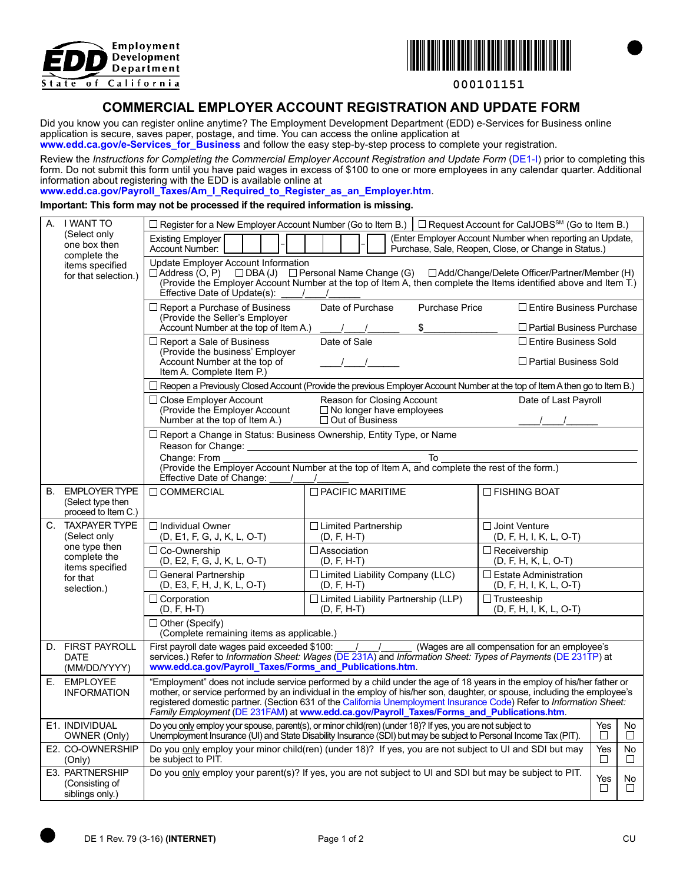



**000101151**

## **COMMERCIAL EMPLOYER ACCOUNT REGISTRATION AND UPDATE FORM**

Did you know you can register online anytime? The Employment Development Department (EDD) e-Services for Business online application is secure, saves paper, postage, and time. You can access the online application at

www.edd.ca.gov/e-Services\_for\_Business and follow the easy step-by-step process to complete your registration.

Review the *Instructions for Completing the Commercial Employer Account Registration and Update Form* (DE1-I) prior to completing this form. Do not submit this form until you have paid wages in excess of \$100 to one or more employees in any calendar quarter. Additional information about registering with the EDD is available online at

**www.edd.ca.gov/Payroll\_Taxes/Am\_I\_Required\_to\_Register\_as\_an\_Employer.htm**.

## **Important: This form may not be processed if the required information is missing.**

|    | A. I WANT TO<br>(Select only<br>one box then<br>complete the<br>items specified<br>for that selection.)             |                                                                                                                                                                                                                                                                                                                                                                                                                                                                          | $\Box$ Register for a New Employer Account Number (Go to Item B.) $\Box$ Request Account for CalJOBS <sup>SM</sup> (Go to Item B.) |                                                             |  |  |  |  |  |  |
|----|---------------------------------------------------------------------------------------------------------------------|--------------------------------------------------------------------------------------------------------------------------------------------------------------------------------------------------------------------------------------------------------------------------------------------------------------------------------------------------------------------------------------------------------------------------------------------------------------------------|------------------------------------------------------------------------------------------------------------------------------------|-------------------------------------------------------------|--|--|--|--|--|--|
|    |                                                                                                                     | (Enter Employer Account Number when reporting an Update,<br>Existing Employer<br>Account Number:<br>Purchase, Sale, Reopen, Close, or Change in Status.)                                                                                                                                                                                                                                                                                                                 |                                                                                                                                    |                                                             |  |  |  |  |  |  |
|    |                                                                                                                     | Update Employer Account Information<br>$\Box$ Address (O, P) $\Box$ DBA (J) $\Box$ Personal Name Change (G) $\Box$ Add/Change/Delete Officer/Partner/Member (H)<br>(Provide the Employer Account Number at the top of Item A, then complete the Items identified above and Item T.)<br>Effective Date of Update(s):                                                                                                                                                      |                                                                                                                                    |                                                             |  |  |  |  |  |  |
|    |                                                                                                                     | $\Box$ Report a Purchase of Business<br>(Provide the Seller's Employer                                                                                                                                                                                                                                                                                                                                                                                                   | Date of Purchase<br><b>Purchase Price</b>                                                                                          | $\Box$ Entire Business Purchase                             |  |  |  |  |  |  |
|    |                                                                                                                     | Account Number at the top of Item A.)                                                                                                                                                                                                                                                                                                                                                                                                                                    | \$                                                                                                                                 | $\Box$ Partial Business Purchase                            |  |  |  |  |  |  |
|    |                                                                                                                     | $\Box$ Report a Sale of Business<br>(Provide the business' Employer<br>Account Number at the top of<br>Item A. Complete Item P.)                                                                                                                                                                                                                                                                                                                                         | Date of Sale<br>$\sqrt{1}$                                                                                                         | $\Box$ Entire Business Sold<br>$\Box$ Partial Business Sold |  |  |  |  |  |  |
|    |                                                                                                                     | $\Box$ Reopen a Previously Closed Account (Provide the previous Employer Account Number at the top of Item A then go to Item B.)                                                                                                                                                                                                                                                                                                                                         |                                                                                                                                    |                                                             |  |  |  |  |  |  |
|    |                                                                                                                     | $\Box$ Close Employer Account<br>(Provide the Employer Account<br>Number at the top of Item A.)                                                                                                                                                                                                                                                                                                                                                                          | Reason for Closing Account<br>$\Box$ No longer have employees<br>□ Out of Business                                                 | Date of Last Payroll                                        |  |  |  |  |  |  |
|    |                                                                                                                     | □ Report a Change in Status: Business Ownership, Entity Type, or Name<br>Reason for Change: <u>____________________</u>                                                                                                                                                                                                                                                                                                                                                  |                                                                                                                                    |                                                             |  |  |  |  |  |  |
|    |                                                                                                                     | To<br>Change: From<br>(Provide the Employer Account Number at the top of Item A, and complete the rest of the form.)<br>Effective Date of Change:<br>$\prime$                                                                                                                                                                                                                                                                                                            |                                                                                                                                    |                                                             |  |  |  |  |  |  |
| В. | <b>EMPLOYER TYPE</b><br>(Select type then<br>proceed to Item C.)                                                    | $\Box$ COMMERCIAL                                                                                                                                                                                                                                                                                                                                                                                                                                                        | $\Box$ PACIFIC MARITIME                                                                                                            | $\Box$ FISHING BOAT                                         |  |  |  |  |  |  |
| C. | <b>TAXPAYER TYPE</b><br>(Select only<br>one type then<br>complete the<br>items specified<br>for that<br>selection.) | $\Box$ Individual Owner<br>(D, E1, F, G, J, K, L, O-T)                                                                                                                                                                                                                                                                                                                                                                                                                   | $\Box$ Limited Partnership<br>$\Box$ Joint Venture<br>$(D, F, H-T)$<br>(D, F, H, I, K, L, O-T)                                     |                                                             |  |  |  |  |  |  |
|    |                                                                                                                     | $\Box$ Co-Ownership<br>(D, E2, F, G, J, K, L, O-T)                                                                                                                                                                                                                                                                                                                                                                                                                       | $\Box$ Association<br>$(D, F, H-T)$                                                                                                | $\Box$ Receivership<br>$(D, F, H, K, L, O-T)$               |  |  |  |  |  |  |
|    |                                                                                                                     | □ General Partnership<br>(D, E3, F, H, J, K, L, O-T)                                                                                                                                                                                                                                                                                                                                                                                                                     | $\Box$ Limited Liability Company (LLC)<br>$(D, F, H-T)$                                                                            | $\Box$ Estate Administration<br>(D, F, H, I, K, L, O-T)     |  |  |  |  |  |  |
|    |                                                                                                                     | $\Box$ Corporation<br>$(D, F, H-T)$                                                                                                                                                                                                                                                                                                                                                                                                                                      | $\Box$ Limited Liability Partnership (LLP)<br>$(D, F, H-T)$                                                                        | $\Box$ Trusteeship<br>$(D, F, H, I, K, L, O-T)$             |  |  |  |  |  |  |
|    |                                                                                                                     | $\Box$ Other (Specify)<br>(Complete remaining items as applicable.)                                                                                                                                                                                                                                                                                                                                                                                                      |                                                                                                                                    |                                                             |  |  |  |  |  |  |
|    | D. FIRST PAYROLL<br><b>DATE</b><br>(MM/DD/YYYY)                                                                     | First payroll date wages paid exceeded \$100:<br>(Wages are all compensation for an employee's<br>services.) Refer to Information Sheet: Wages (DE 231A) and Information Sheet: Types of Payments (DE 231TP) at<br>www.edd.ca.gov/Payroll_Taxes/Forms_and_Publications.htm                                                                                                                                                                                               |                                                                                                                                    |                                                             |  |  |  |  |  |  |
| Е. | <b>EMPLOYEE</b><br><b>INFORMATION</b>                                                                               | "Employment" does not include service performed by a child under the age of 18 years in the employ of his/her father or<br>mother, or service performed by an individual in the employ of his/her son, daughter, or spouse, including the employee's<br>registered domestic partner. (Section 631 of the California Unemployment Insurance Code) Refer to Information Sheet:<br>Family Employment (DE 231FAM) at www.edd.ca.gov/Payroll_Taxes/Forms_and_Publications.htm |                                                                                                                                    |                                                             |  |  |  |  |  |  |
|    | E1. INDIVIDUAL<br>OWNER (Only)                                                                                      | Do you only employ your spouse, parent(s), or minor child(ren) (under 18)? If yes, you are not subject to<br>Yes<br>No<br>Unemployment Insurance (UI) and State Disability Insurance (SDI) but may be subject to Personal Income Tax (PIT).<br>$\Box$<br>$\Box$                                                                                                                                                                                                          |                                                                                                                                    |                                                             |  |  |  |  |  |  |
|    | E2. CO-OWNERSHIP<br>(Only)                                                                                          | Do you only employ your minor child(ren) (under 18)? If yes, you are not subject to UI and SDI but may<br>Yes<br>No<br>be subject to PIT.<br>$\Box$<br>$\Box$                                                                                                                                                                                                                                                                                                            |                                                                                                                                    |                                                             |  |  |  |  |  |  |
|    | E3. PARTNERSHIP<br>(Consisting of<br>siblings only.)                                                                | Do you only employ your parent(s)? If yes, you are not subject to UI and SDI but may be subject to PIT.<br>Yes<br>No<br>$\Box$<br>$\Box$                                                                                                                                                                                                                                                                                                                                 |                                                                                                                                    |                                                             |  |  |  |  |  |  |